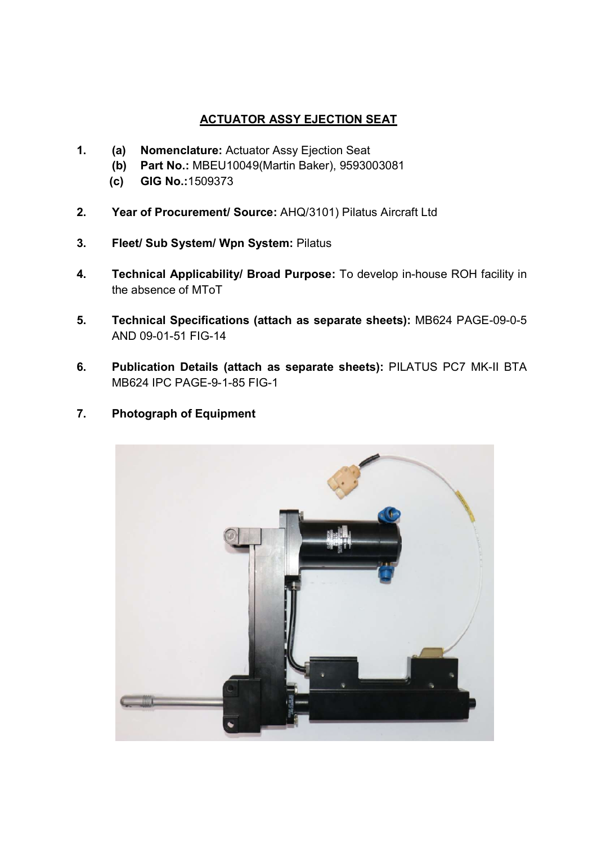## ACTUATOR ASSY EJECTION SEAT

- 1. (a) Nomenclature: Actuator Assy Ejection Seat
	- (b) Part No.: MBEU10049(Martin Baker), 9593003081
	- (c) GIG No.:1509373
- 2. Year of Procurement/ Source: AHQ/3101) Pilatus Aircraft Ltd
- 3. Fleet/ Sub System/ Wpn System: Pilatus
- 4. Technical Applicability/ Broad Purpose: To develop in-house ROH facility in the absence of MToT
- 5. Technical Specifications (attach as separate sheets): MB624 PAGE-09-0-5 AND 09-01-51 FIG-14
- 6. Publication Details (attach as separate sheets): PILATUS PC7 MK-II BTA MB624 IPC PAGE-9-1-85 FIG-1
- 7. Photograph of Equipment